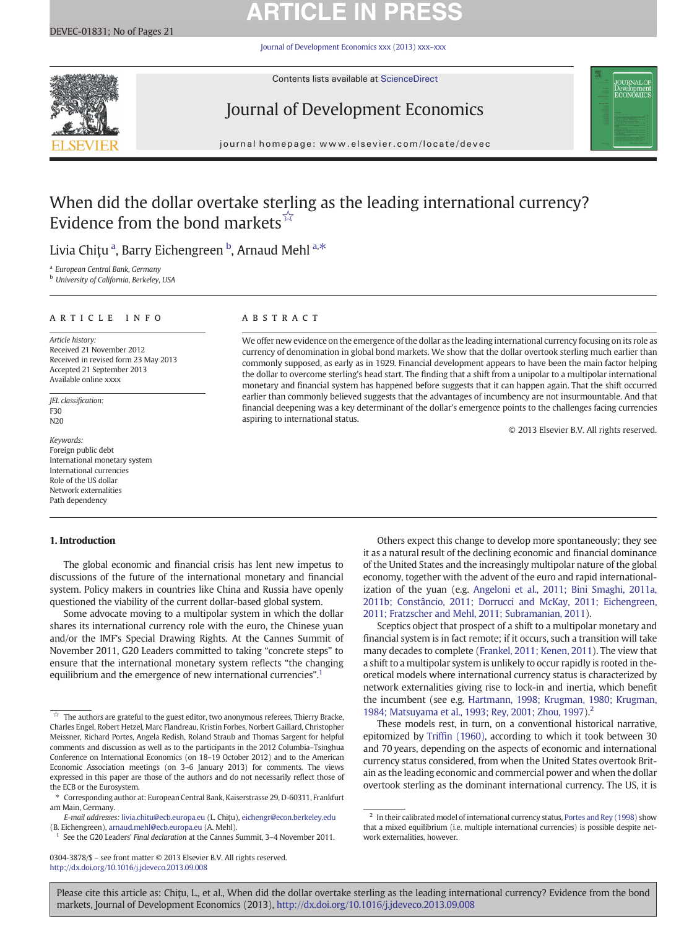# **ARTICLE IN PRESS**

[Journal of Development Economics xxx \(2013\) xxx](http://dx.doi.org/10.1016/j.jdeveco.2013.09.008)–xxx



Contents lists available at [ScienceDirect](http://www.sciencedirect.com/science/journal/03043878)

## Journal of Development Economics



journal homepage: www.elsevier.com/locate/devec

### When did the dollar overtake sterling as the leading international currency? Evidence from the bond markets $\vec{X}$

Livia Chițu <sup>a</sup>, Barry Eichengreen <sup>b</sup>, Arnaud Mehl <sup>a,\*</sup>

<sup>a</sup> European Central Bank, Germany

<sup>b</sup> University of California, Berkeley, USA

#### article info abstract

Article history: Received 21 November 2012 Received in revised form 23 May 2013 Accepted 21 September 2013 Available online xxxx

JEL classification: F30 N20

Keywords: Foreign public debt International monetary system International currencies Role of the US dollar Network externalities Path dependency

#### 1. Introduction

### The global economic and financial crisis has lent new impetus to discussions of the future of the international monetary and financial system. Policy makers in countries like China and Russia have openly questioned the viability of the current dollar-based global system.

Some advocate moving to a multipolar system in which the dollar shares its international currency role with the euro, the Chinese yuan and/or the IMF's Special Drawing Rights. At the Cannes Summit of November 2011, G20 Leaders committed to taking "concrete steps" to ensure that the international monetary system reflects "the changing equilibrium and the emergence of new international currencies".<sup>1</sup>

E-mail addresses: [livia.chitu@ecb.europa.eu](mailto:livia.chitu@ecb.europa.eu) (L. Chiţu), [eichengr@econ.berkeley.edu](mailto:eichengr@econ.berkeley.edu) (B. Eichengreen), [arnaud.mehl@ecb.europa.eu](mailto:arnaud.mehl@ecb.europa.eu) (A. Mehl).

See the G20 Leaders' Final declaration at the Cannes Summit, 3-4 November 2011.

0304-3878/\$ – see front matter © 2013 Elsevier B.V. All rights reserved. <http://dx.doi.org/10.1016/j.jdeveco.2013.09.008>

We offer new evidence on the emergence of the dollar as the leading international currency focusing on its role as currency of denomination in global bond markets. We show that the dollar overtook sterling much earlier than commonly supposed, as early as in 1929. Financial development appears to have been the main factor helping the dollar to overcome sterling's head start. The finding that a shift from a unipolar to a multipolar international monetary and financial system has happened before suggests that it can happen again. That the shift occurred earlier than commonly believed suggests that the advantages of incumbency are not insurmountable. And that financial deepening was a key determinant of the dollar's emergence points to the challenges facing currencies aspiring to international status.

© 2013 Elsevier B.V. All rights reserved.

Others expect this change to develop more spontaneously; they see it as a natural result of the declining economic and financial dominance of the United States and the increasingly multipolar nature of the global economy, together with the advent of the euro and rapid internationalization of the yuan (e.g. [Angeloni et al., 2011; Bini Smaghi, 2011a,](#page--1-0) [2011b; Constâncio, 2011; Dorrucci and McKay, 2011; Eichengreen,](#page--1-0) [2011; Fratzscher and Mehl, 2011; Subramanian, 2011](#page--1-0)).

Sceptics object that prospect of a shift to a multipolar monetary and financial system is in fact remote; if it occurs, such a transition will take many decades to complete [\(Frankel, 2011; Kenen, 2011](#page--1-0)). The view that a shift to a multipolar system is unlikely to occur rapidly is rooted in theoretical models where international currency status is characterized by network externalities giving rise to lock-in and inertia, which benefit the incumbent (see e.g. [Hartmann, 1998; Krugman, 1980; Krugman,](#page--1-0) [1984; Matsuyama et al., 1993; Rey, 2001; Zhou, 1997](#page--1-0)).2

These models rest, in turn, on a conventional historical narrative, epitomized by Triffi[n \(1960\)](#page--1-0), according to which it took between 30 and 70 years, depending on the aspects of economic and international currency status considered, from when the United States overtook Britain as the leading economic and commercial power and when the dollar overtook sterling as the dominant international currency. The US, it is

Please cite this article as: Chiţu, L., et al., When did the dollar overtake sterling as the leading international currency? Evidence from the bond markets, Journal of Development Economics (2013), <http://dx.doi.org/10.1016/j.jdeveco.2013.09.008>

The authors are grateful to the guest editor, two anonymous referees, Thierry Bracke, Charles Engel, Robert Hetzel, Marc Flandreau, Kristin Forbes, Norbert Gaillard, Christopher Meissner, Richard Portes, Angela Redish, Roland Straub and Thomas Sargent for helpful comments and discussion as well as to the participants in the 2012 Columbia–Tsinghua Conference on International Economics (on 18–19 October 2012) and to the American Economic Association meetings (on 3–6 January 2013) for comments. The views expressed in this paper are those of the authors and do not necessarily reflect those of the ECB or the Eurosystem.

<sup>⁎</sup> Corresponding author at: European Central Bank, Kaiserstrasse 29, D-60311, Frankfurt am Main, Germany.

<sup>&</sup>lt;sup>2</sup> In their calibrated model of international currency status, [Portes and Rey \(1998\)](#page--1-0) show that a mixed equilibrium (i.e. multiple international currencies) is possible despite network externalities, however.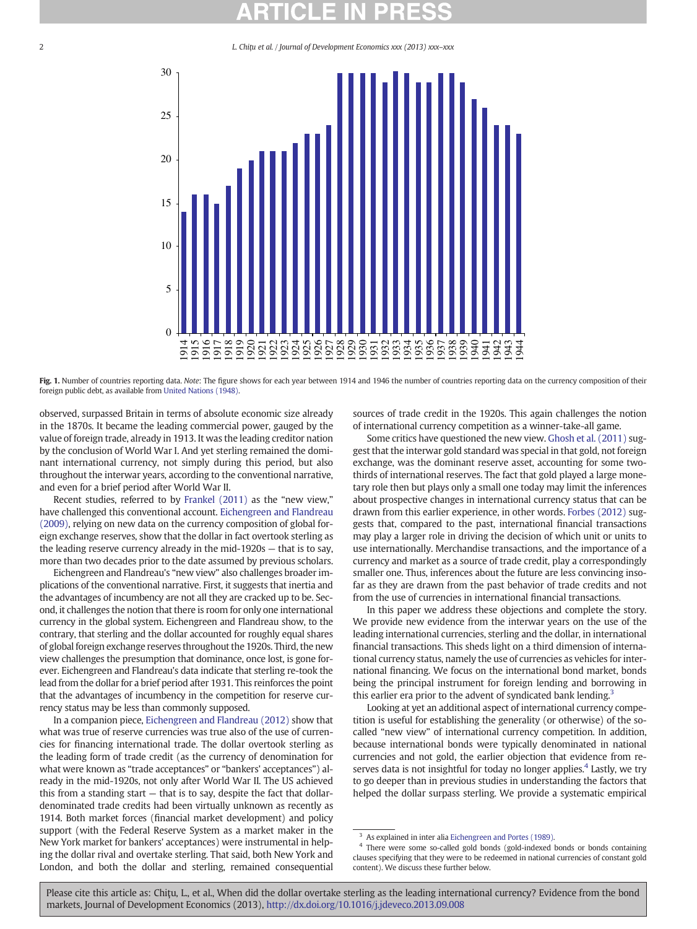2 L. Chiţu et al. / Journal of Development Economics xxx (2013) xxx–xxx



Fig. 1. Number of countries reporting data. Note: The figure shows for each year between 1914 and 1946 the number of countries reporting data on the currency composition of their foreign public debt, as available from [United Nations \(1948\).](#page--1-0)

observed, surpassed Britain in terms of absolute economic size already in the 1870s. It became the leading commercial power, gauged by the value of foreign trade, already in 1913. It was the leading creditor nation by the conclusion of World War I. And yet sterling remained the dominant international currency, not simply during this period, but also throughout the interwar years, according to the conventional narrative, and even for a brief period after World War II.

Recent studies, referred to by [Frankel \(2011\)](#page--1-0) as the "new view," have challenged this conventional account. [Eichengreen and Flandreau](#page--1-0) [\(2009\)](#page--1-0), relying on new data on the currency composition of global foreign exchange reserves, show that the dollar in fact overtook sterling as the leading reserve currency already in the mid-1920s — that is to say, more than two decades prior to the date assumed by previous scholars.

Eichengreen and Flandreau's "new view" also challenges broader implications of the conventional narrative. First, it suggests that inertia and the advantages of incumbency are not all they are cracked up to be. Second, it challenges the notion that there is room for only one international currency in the global system. Eichengreen and Flandreau show, to the contrary, that sterling and the dollar accounted for roughly equal shares of global foreign exchange reserves throughout the 1920s. Third, the new view challenges the presumption that dominance, once lost, is gone forever. Eichengreen and Flandreau's data indicate that sterling re-took the lead from the dollar for a brief period after 1931. This reinforces the point that the advantages of incumbency in the competition for reserve currency status may be less than commonly supposed.

In a companion piece, [Eichengreen and Flandreau \(2012\)](#page--1-0) show that what was true of reserve currencies was true also of the use of currencies for financing international trade. The dollar overtook sterling as the leading form of trade credit (as the currency of denomination for what were known as "trade acceptances" or "bankers' acceptances") already in the mid-1920s, not only after World War II. The US achieved this from a standing start — that is to say, despite the fact that dollardenominated trade credits had been virtually unknown as recently as 1914. Both market forces (financial market development) and policy support (with the Federal Reserve System as a market maker in the New York market for bankers' acceptances) were instrumental in helping the dollar rival and overtake sterling. That said, both New York and London, and both the dollar and sterling, remained consequential sources of trade credit in the 1920s. This again challenges the notion of international currency competition as a winner-take-all game.

Some critics have questioned the new view. [Ghosh et al. \(2011\)](#page--1-0) suggest that the interwar gold standard was special in that gold, not foreign exchange, was the dominant reserve asset, accounting for some twothirds of international reserves. The fact that gold played a large monetary role then but plays only a small one today may limit the inferences about prospective changes in international currency status that can be drawn from this earlier experience, in other words. [Forbes \(2012\)](#page--1-0) suggests that, compared to the past, international financial transactions may play a larger role in driving the decision of which unit or units to use internationally. Merchandise transactions, and the importance of a currency and market as a source of trade credit, play a correspondingly smaller one. Thus, inferences about the future are less convincing insofar as they are drawn from the past behavior of trade credits and not from the use of currencies in international financial transactions.

In this paper we address these objections and complete the story. We provide new evidence from the interwar years on the use of the leading international currencies, sterling and the dollar, in international financial transactions. This sheds light on a third dimension of international currency status, namely the use of currencies as vehicles for international financing. We focus on the international bond market, bonds being the principal instrument for foreign lending and borrowing in this earlier era prior to the advent of syndicated bank lending.<sup>3</sup>

Looking at yet an additional aspect of international currency competition is useful for establishing the generality (or otherwise) of the socalled "new view" of international currency competition. In addition, because international bonds were typically denominated in national currencies and not gold, the earlier objection that evidence from reserves data is not insightful for today no longer applies.<sup>4</sup> Lastly, we try to go deeper than in previous studies in understanding the factors that helped the dollar surpass sterling. We provide a systematic empirical

As explained in inter alia [Eichengreen and Portes \(1989\).](#page--1-0)

<sup>&</sup>lt;sup>4</sup> There were some so-called gold bonds (gold-indexed bonds or bonds containing clauses specifying that they were to be redeemed in national currencies of constant gold content). We discuss these further below.